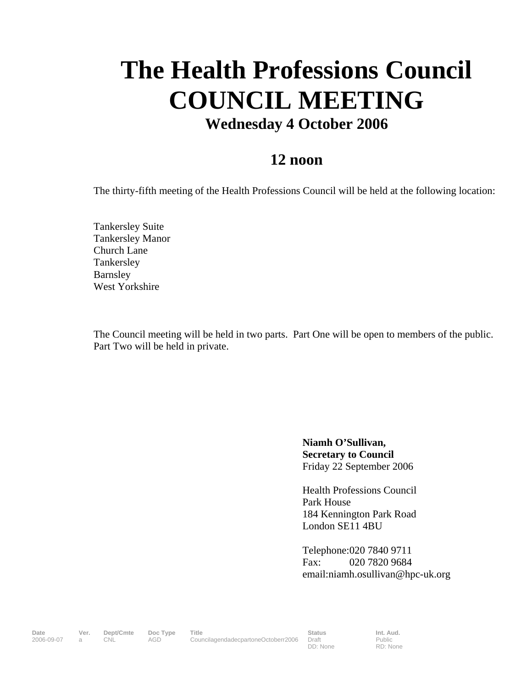# **The Health Professions Council COUNCIL MEETING Wednesday 4 October 2006**

## **12 noon**

The thirty-fifth meeting of the Health Professions Council will be held at the following location:

Tankersley Suite Tankersley Manor Church Lane **Tankersley** Barnsley West Yorkshire

The Council meeting will be held in two parts. Part One will be open to members of the public. Part Two will be held in private.

> **Niamh O'Sullivan, Secretary to Council**  Friday 22 September 2006

Health Professions Council Park House 184 Kennington Park Road London SE11 4BU

Telephone:020 7840 9711 Fax: 020 7820 9684 email:niamh.osullivan@hpc-uk.org

Date Ver. Dept/Cmte Doc<sup>Type</sup> Title **Status Int. Aud.** Date Status Int. Aud. 2006-09-07 a CNL AGD CouncilagendadecpartoneOctoberr2006 Draft

DD: None

Public RD: None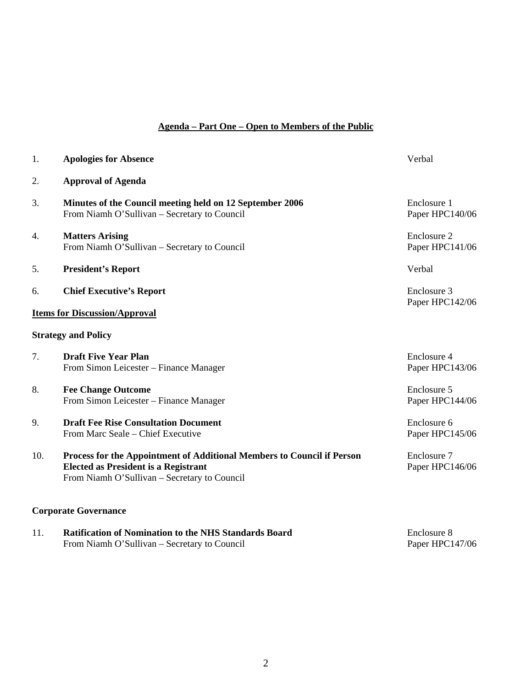### **Agenda – Part One – Open to Members of the Public**

| 1.  | <b>Apologies for Absence</b>                                                                                                                                          | Verbal                         |
|-----|-----------------------------------------------------------------------------------------------------------------------------------------------------------------------|--------------------------------|
| 2.  | <b>Approval of Agenda</b>                                                                                                                                             |                                |
| 3.  | Minutes of the Council meeting held on 12 September 2006<br>From Niamh O'Sullivan - Secretary to Council                                                              | Enclosure 1<br>Paper HPC140/06 |
| 4.  | <b>Matters Arising</b><br>From Niamh O'Sullivan - Secretary to Council                                                                                                | Enclosure 2<br>Paper HPC141/06 |
| 5.  | <b>President's Report</b>                                                                                                                                             | Verbal                         |
| 6.  | <b>Chief Executive's Report</b>                                                                                                                                       | Enclosure 3<br>Paper HPC142/06 |
|     | <b>Items for Discussion/Approval</b>                                                                                                                                  |                                |
|     | <b>Strategy and Policy</b>                                                                                                                                            |                                |
| 7.  | <b>Draft Five Year Plan</b><br>From Simon Leicester – Finance Manager                                                                                                 | Enclosure 4<br>Paper HPC143/06 |
| 8.  | <b>Fee Change Outcome</b><br>From Simon Leicester - Finance Manager                                                                                                   | Enclosure 5<br>Paper HPC144/06 |
| 9.  | <b>Draft Fee Rise Consultation Document</b><br>From Marc Seale – Chief Executive                                                                                      | Enclosure 6<br>Paper HPC145/06 |
| 10. | Process for the Appointment of Additional Members to Council if Person<br><b>Elected as President is a Registrant</b><br>From Niamh O'Sullivan - Secretary to Council | Enclosure 7<br>Paper HPC146/06 |
|     | <b>Corporate Governance</b>                                                                                                                                           |                                |
|     |                                                                                                                                                                       |                                |

11. **Ratification of Nomination to the NHS Standards Board <b>Enclosure 8 Enclosure 8 Paper HPC147/06 Paper HPC147/06** From Niamh O'Sullivan – Secretary to Council